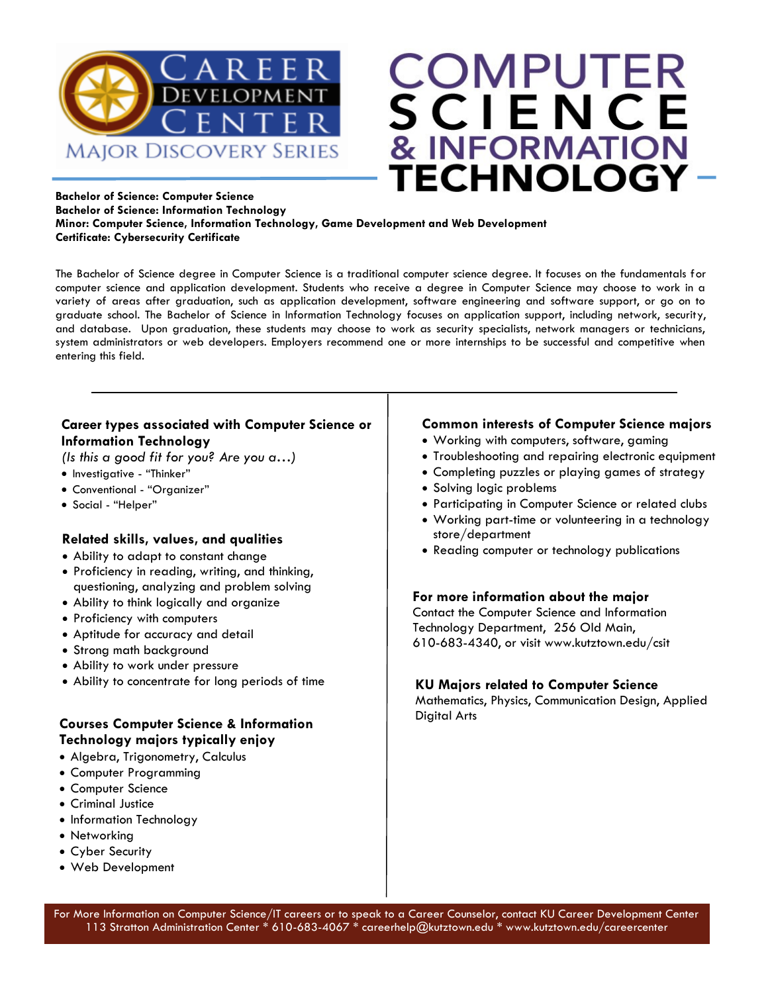



#### **Bachelor of Science: Computer Science Bachelor of Science: Information Technology Minor: Computer Science, Information Technology, Game Development and Web Development Certificate: Cybersecurity Certificate**

The Bachelor of Science degree in Computer Science is a traditional computer science degree. It focuses on the fundamentals for computer science and application development. Students who receive a degree in Computer Science may choose to work in a variety of areas after graduation, such as application development, software engineering and software support, or go on to graduate school. The Bachelor of Science in Information Technology focuses on application support, including network, security, and database. Upon graduation, these students may choose to work as security specialists, network managers or technicians, system administrators or web developers. Employers recommend one or more internships to be successful and competitive when entering this field.

#### **Career types associated with Computer Science or Information Technology**

*(Is this a good fit for you? Are you a…)*

- Investigative "Thinker"
- Conventional "Organizer"
- Social "Helper"

#### **Related skills, values, and qualities**

- Ability to adapt to constant change
- Proficiency in reading, writing, and thinking, questioning, analyzing and problem solving
- Ability to think logically and organize
- Proficiency with computers
- Aptitude for accuracy and detail
- Strong math background
- Ability to work under pressure
- Ability to concentrate for long periods of time

#### **Courses Computer Science & Information Technology majors typically enjoy**

- Algebra, Trigonometry, Calculus
- Computer Programming
- Computer Science
- Criminal Justice
- Information Technology
- Networking
- Cyber Security
- Web Development

#### **Common interests of Computer Science majors**

- Working with computers, software, gaming
- Troubleshooting and repairing electronic equipment
- Completing puzzles or playing games of strategy
- Solving logic problems
- Participating in Computer Science or related clubs
- Working part-time or volunteering in a technology store/department
- Reading computer or technology publications

#### **For more information about the major**

Contact the Computer Science and Information Technology Department, 256 Old Main, 610-683-4340, or visit www.kutztown.edu/csit

#### **KU Majors related to Computer Science**

Mathematics, Physics, Communication Design, Applied Digital Arts

For More Information on Computer Science/IT careers or to speak to a Career Counselor, contact KU Career Development Center 113 Stratton Administration Center \* 610-683-4067 \* careerhelp@kutztown.edu \* www.kutztown.edu/careercenter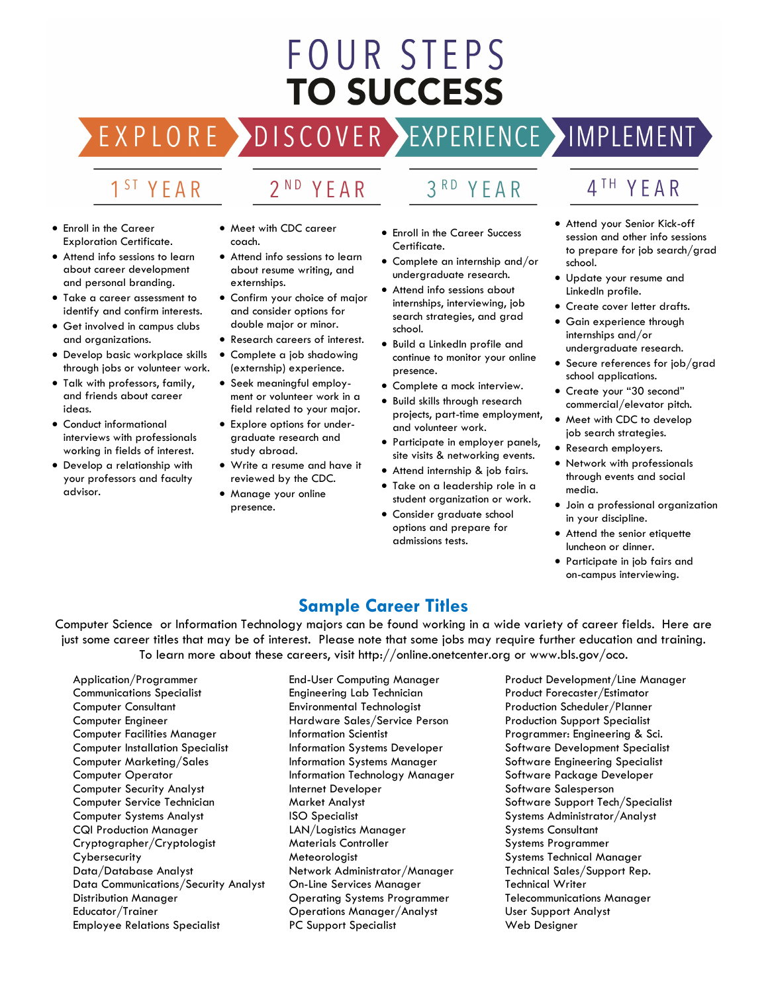# **FOUR STEPS TO SUCCESS**

DISCOVER EXPERIENCE MAPLEMENT

# 1<sup>ST</sup> YEAR

EXPLORE >

# 2<sup>ND</sup> YEAR

#### • Enroll in the Career Exploration Certificate.

- Attend info sessions to learn about career development and personal branding.
- Take a career assessment to identify and confirm interests.
- Get involved in campus clubs and organizations.
- Develop basic workplace skills through jobs or volunteer work.
- Talk with professors, family, and friends about career ideas.
- Conduct informational interviews with professionals working in fields of interest.
- Develop a relationship with your professors and faculty advisor.
- Meet with CDC career coach.
- Attend info sessions to learn about resume writing, and externships.
- Confirm your choice of major and consider options for double major or minor.
- Research careers of interest.
- Complete a job shadowing (externship) experience.
- Seek meaningful employment or volunteer work in a field related to your major.
- Explore options for undergraduate research and study abroad.
- Write a resume and have it reviewed by the CDC.
- Manage your online presence.
- 
- Enroll in the Career Success Certificate.
- Complete an internship and/or undergraduate research.
- Attend info sessions about internships, interviewing, job search strategies, and grad school.
- Build a LinkedIn profile and continue to monitor your online presence.
- Complete a mock interview.
- Build skills through research projects, part-time employment, and volunteer work.
- Participate in employer panels, site visits & networking events.
- Attend internship & job fairs.
- Take on a leadership role in a student organization or work.
- Consider graduate school options and prepare for admissions tests.
- 4TH YEAR
- Attend your Senior Kick-off session and other info sessions to prepare for job search/grad school.
- Update your resume and LinkedIn profile.
- Create cover letter drafts.
- Gain experience through internships and/or undergraduate research.
- Secure references for job/grad school applications.
- Create your "30 second" commercial/elevator pitch.
- Meet with CDC to develop job search strategies.
- Research employers.
- Network with professionals through events and social media.
- Join a professional organization in your discipline.
- Attend the senior etiquette luncheon or dinner.
- Participate in job fairs and on-campus interviewing.

### **Sample Career Titles**

Computer Science or Information Technology majors can be found working in a wide variety of career fields. Here are just some career titles that may be of interest. Please note that some jobs may require further education and training. To learn more about these careers, visit http://online.onetcenter.org or www.bls.gov/oco.

Application/Programmer Communications Specialist Computer Consultant Computer Engineer Computer Facilities Manager Computer Installation Specialist Computer Marketing/Sales Computer Operator Computer Security Analyst Computer Service Technician Computer Systems Analyst CQI Production Manager Cryptographer/Cryptologist **Cybersecurity** Data/Database Analyst Data Communications/Security Analyst Distribution Manager Educator/Trainer Employee Relations Specialist

End-User Computing Manager Engineering Lab Technician Environmental Technologist Hardware Sales/Service Person Information Scientist Information Systems Developer Information Systems Manager Information Technology Manager Internet Developer Market Analyst ISO Specialist LAN/Logistics Manager Materials Controller Meteorologist Network Administrator/Manager On-Line Services Manager Operating Systems Programmer Operations Manager/Analyst PC Support Specialist

Product Development/Line Manager Product Forecaster/Estimator Production Scheduler/Planner Production Support Specialist Programmer: Engineering & Sci. Software Development Specialist Software Engineering Specialist Software Package Developer Software Salesperson Software Support Tech/Specialist Systems Administrator/Analyst Systems Consultant Systems Programmer Systems Technical Manager Technical Sales/Support Rep. Technical Writer Telecommunications Manager User Support Analyst Web Designer

#### $3<sup>RD</sup>$ YEAR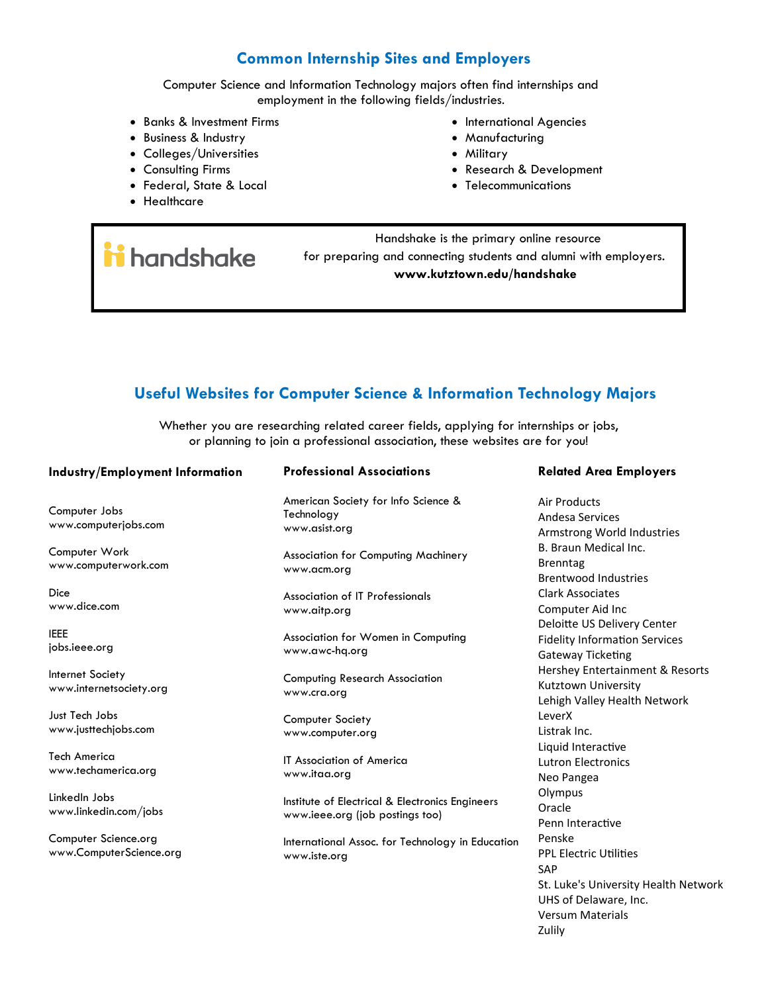#### **Common Internship Sites and Employers**

Computer Science and Information Technology majors often find internships and employment in the following fields/industries.

- Banks & Investment Firms
- Business & Industry
- Colleges/Universities
- Consulting Firms

ii handshake

- Federal, State & Local
- Healthcare
- International Agencies
- Manufacturing
- Military
- Research & Development

UHS of Delaware, Inc. Versum Materials

Zulily

• Telecommunications

 Handshake is the primary online resource for preparing and connecting students and alumni with employers. **www.kutztown.edu/handshake**

#### **Useful Websites for Computer Science & Information Technology Majors**

Whether you are researching related career fields, applying for internships or jobs, or planning to join a professional association, these websites are for you!

| Industry/Employment Information                 | <b>Professional Associations</b>                                                   | <b>Related Area Employers</b>                                                                 |
|-------------------------------------------------|------------------------------------------------------------------------------------|-----------------------------------------------------------------------------------------------|
| Computer Jobs<br>www.computerjobs.com           | American Society for Info Science &<br>Technology<br>www.asist.org                 | Air Products<br>Andesa Services<br>Armstrong World Industries                                 |
| Computer Work<br>www.computerwork.com           | <b>Association for Computing Machinery</b><br>www.acm.org                          | B. Braun Medical Inc.<br><b>Brenntag</b><br><b>Brentwood Industries</b>                       |
| Dice<br>www.dice.com                            | Association of IT Professionals<br>www.aitp.org                                    | <b>Clark Associates</b><br>Computer Aid Inc<br>Deloitte US Delivery Center                    |
| <b>IEEE</b><br>jobs.ieee.org                    | Association for Women in Computing<br>www.awc-hq.org                               | <b>Fidelity Information Services</b><br><b>Gateway Ticketing</b>                              |
| Internet Society<br>www.internetsociety.org     | <b>Computing Research Association</b><br>www.cra.org                               | Hershey Entertainment & Resorts<br>Kutztown University<br>Lehigh Valley Health Network        |
| Just Tech Jobs<br>www.justtechjobs.com          | <b>Computer Society</b><br>www.computer.org                                        | LeverX<br>Listrak Inc.<br>Liquid Interactive                                                  |
| <b>Tech America</b><br>www.techamerica.org      | <b>IT Association of America</b><br>www.itaa.org                                   | <b>Lutron Electronics</b><br>Neo Pangea                                                       |
| LinkedIn Jobs<br>www.linkedin.com/jobs          | Institute of Electrical & Electronics Engineers<br>www.ieee.org (job postings too) | Olympus<br>Oracle<br>Penn Interactive                                                         |
| Computer Science.org<br>www.ComputerScience.org | International Assoc. for Technology in Education<br>www.iste.org                   | Penske<br><b>PPL Electric Utilities</b><br><b>SAP</b><br>St. Luke's University Health Network |